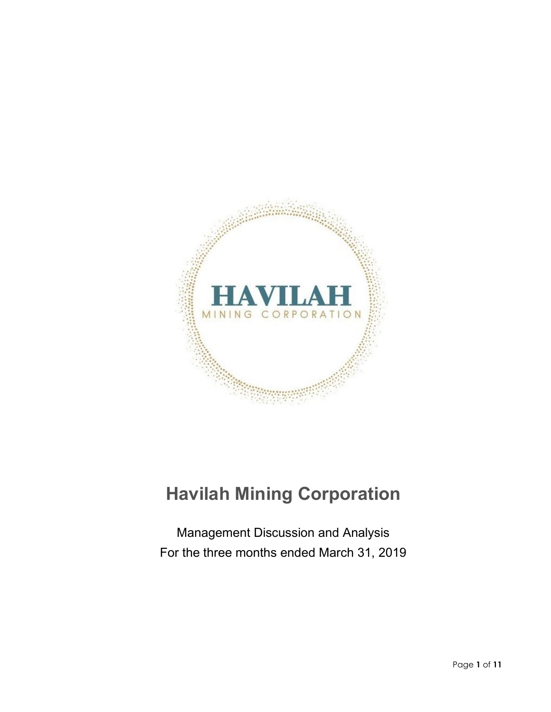

# **Havilah Mining Corporation**

Management Discussion and Analysis For the three months ended March 31, 2019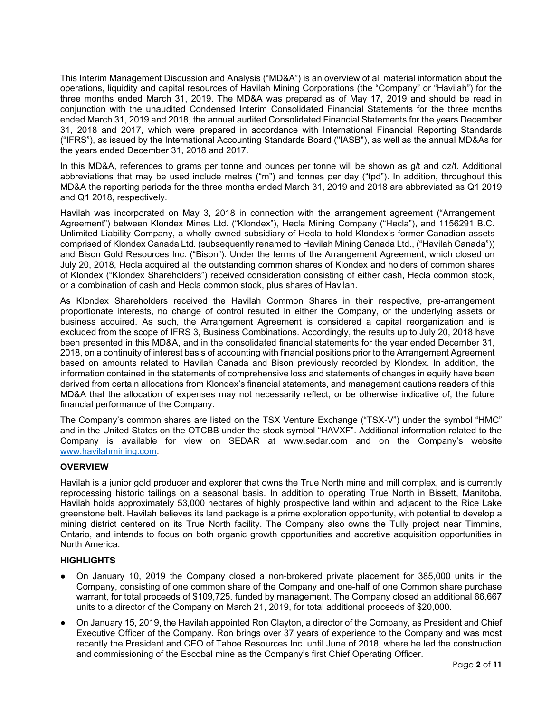This Interim Management Discussion and Analysis ("MD&A") is an overview of all material information about the operations, liquidity and capital resources of Havilah Mining Corporations (the "Company" or "Havilah") for the three months ended March 31, 2019. The MD&A was prepared as of May 17, 2019 and should be read in conjunction with the unaudited Condensed Interim Consolidated Financial Statements for the three months ended March 31, 2019 and 2018, the annual audited Consolidated Financial Statements for the years December 31, 2018 and 2017, which were prepared in accordance with International Financial Reporting Standards ("IFRS"), as issued by the International Accounting Standards Board ("IASB"), as well as the annual MD&As for the years ended December 31, 2018 and 2017.

In this MD&A, references to grams per tonne and ounces per tonne will be shown as g/t and oz/t. Additional abbreviations that may be used include metres ("m") and tonnes per day ("tpd"). In addition, throughout this MD&A the reporting periods for the three months ended March 31, 2019 and 2018 are abbreviated as Q1 2019 and Q1 2018, respectively.

Havilah was incorporated on May 3, 2018 in connection with the arrangement agreement ("Arrangement Agreement") between Klondex Mines Ltd. ("Klondex"), Hecla Mining Company ("Hecla"), and 1156291 B.C. Unlimited Liability Company, a wholly owned subsidiary of Hecla to hold Klondex's former Canadian assets comprised of Klondex Canada Ltd. (subsequently renamed to Havilah Mining Canada Ltd., ("Havilah Canada")) and Bison Gold Resources Inc. ("Bison"). Under the terms of the Arrangement Agreement, which closed on July 20, 2018, Hecla acquired all the outstanding common shares of Klondex and holders of common shares of Klondex ("Klondex Shareholders") received consideration consisting of either cash, Hecla common stock, or a combination of cash and Hecla common stock, plus shares of Havilah.

As Klondex Shareholders received the Havilah Common Shares in their respective, pre-arrangement proportionate interests, no change of control resulted in either the Company, or the underlying assets or business acquired. As such, the Arrangement Agreement is considered a capital reorganization and is excluded from the scope of IFRS 3, Business Combinations. Accordingly, the results up to July 20, 2018 have been presented in this MD&A, and in the consolidated financial statements for the year ended December 31, 2018, on a continuity of interest basis of accounting with financial positions prior to the Arrangement Agreement based on amounts related to Havilah Canada and Bison previously recorded by Klondex. In addition, the information contained in the statements of comprehensive loss and statements of changes in equity have been derived from certain allocations from Klondex's financial statements, and management cautions readers of this MD&A that the allocation of expenses may not necessarily reflect, or be otherwise indicative of, the future financial performance of the Company.

The Company's common shares are listed on the TSX Venture Exchange ("TSX-V") under the symbol "HMC" and in the United States on the OTCBB under the stock symbol "HAVXF". Additional information related to the Company is available for view on SEDAR at www.sedar.com and on the Company's website [www.havilahmining.com.](http://www.havilahmining.com/)

## **OVERVIEW**

Havilah is a junior gold producer and explorer that owns the True North mine and mill complex, and is currently reprocessing historic tailings on a seasonal basis. In addition to operating True North in Bissett, Manitoba, Havilah holds approximately 53,000 hectares of highly prospective land within and adjacent to the Rice Lake greenstone belt. Havilah believes its land package is a prime exploration opportunity, with potential to develop a mining district centered on its True North facility. The Company also owns the Tully project near Timmins, Ontario, and intends to focus on both organic growth opportunities and accretive acquisition opportunities in North America.

## **HIGHLIGHTS**

- On January 10, 2019 the Company closed a non-brokered private placement for 385,000 units in the Company, consisting of one common share of the Company and one-half of one Common share purchase warrant, for total proceeds of \$109,725, funded by management. The Company closed an additional 66,667 units to a director of the Company on March 21, 2019, for total additional proceeds of \$20,000.
- On January 15, 2019, the Havilah appointed Ron Clayton, a director of the Company, as President and Chief Executive Officer of the Company. Ron brings over 37 years of experience to the Company and was most recently the President and CEO of Tahoe Resources Inc. until June of 2018, where he led the construction and commissioning of the Escobal mine as the Company's first Chief Operating Officer.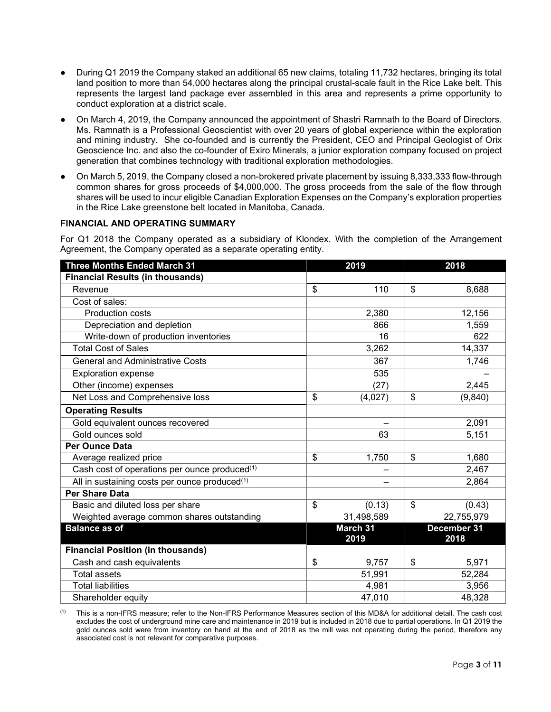- During Q1 2019 the Company staked an additional 65 new claims, totaling 11,732 hectares, bringing its total land position to more than 54,000 hectares along the principal crustal-scale fault in the Rice Lake belt. This represents the largest land package ever assembled in this area and represents a prime opportunity to conduct exploration at a district scale.
- On March 4, 2019, the Company announced the appointment of Shastri Ramnath to the Board of Directors. Ms. Ramnath is a Professional Geoscientist with over 20 years of global experience within the exploration and mining industry. She co-founded and is currently the President, CEO and Principal Geologist of Orix Geoscience Inc. and also the co-founder of Exiro Minerals, a junior exploration company focused on project generation that combines technology with traditional exploration methodologies.
- On March 5, 2019, the Company closed a non-brokered private placement by issuing 8,333,333 flow-through common shares for gross proceeds of \$4,000,000. The gross proceeds from the sale of the flow through shares will be used to incur eligible Canadian Exploration Expenses on the Company's exploration properties in the Rice Lake greenstone belt located in Manitoba, Canada.

## **FINANCIAL AND OPERATING SUMMARY**

For Q1 2018 the Company operated as a subsidiary of Klondex. With the completion of the Arrangement Agreement, the Company operated as a separate operating entity.

| <b>Three Months Ended March 31</b>                        | 2019             | 2018                |
|-----------------------------------------------------------|------------------|---------------------|
| <b>Financial Results (in thousands)</b>                   |                  |                     |
| Revenue                                                   | \$<br>110        | \$<br>8,688         |
| Cost of sales:                                            |                  |                     |
| <b>Production costs</b>                                   | 2,380            | 12,156              |
| Depreciation and depletion                                | 866              | 1,559               |
| Write-down of production inventories                      | 16               | 622                 |
| <b>Total Cost of Sales</b>                                | 3,262            | 14,337              |
| <b>General and Administrative Costs</b>                   | 367              | 1,746               |
| <b>Exploration expense</b>                                | 535              |                     |
| Other (income) expenses                                   | (27)             | 2,445               |
| Net Loss and Comprehensive loss                           | \$<br>(4,027)    | \$<br>(9, 840)      |
| <b>Operating Results</b>                                  |                  |                     |
| Gold equivalent ounces recovered                          |                  | 2,091               |
| Gold ounces sold                                          | 63               | 5,151               |
| <b>Per Ounce Data</b>                                     |                  |                     |
| Average realized price                                    | \$<br>1,750      | \$<br>1,680         |
| Cash cost of operations per ounce produced(1)             |                  | 2,467               |
| All in sustaining costs per ounce produced <sup>(1)</sup> |                  | 2,864               |
| <b>Per Share Data</b>                                     |                  |                     |
| Basic and diluted loss per share                          | \$<br>(0.13)     | \$<br>(0.43)        |
| Weighted average common shares outstanding                | 31,498,589       | 22,755,979          |
| <b>Balance as of</b>                                      | March 31<br>2019 | December 31<br>2018 |
| <b>Financial Position (in thousands)</b>                  |                  |                     |
| Cash and cash equivalents                                 | \$<br>9,757      | \$<br>5,971         |
| <b>Total assets</b>                                       | 51,991           | 52,284              |
| <b>Total liabilities</b>                                  | 4,981            | 3,956               |
| Shareholder equity                                        | 47,010           | 48,328              |

(1) This is a non-IFRS measure; refer to the Non-IFRS Performance Measures section of this MD&A for additional detail. The cash cost excludes the cost of underground mine care and maintenance in 2019 but is included in 2018 due to partial operations. In Q1 2019 the gold ounces sold were from inventory on hand at the end of 2018 as the mill was not operating during the period, therefore any associated cost is not relevant for comparative purposes.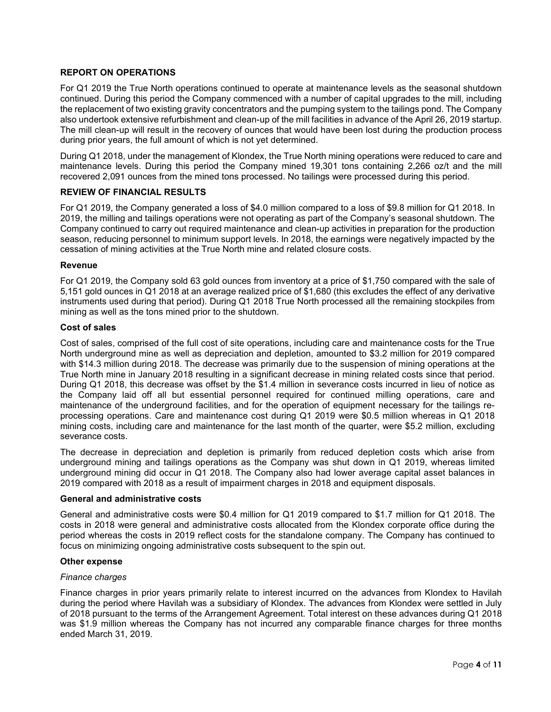## **REPORT ON OPERATIONS**

For Q1 2019 the True North operations continued to operate at maintenance levels as the seasonal shutdown continued. During this period the Company commenced with a number of capital upgrades to the mill, including the replacement of two existing gravity concentrators and the pumping system to the tailings pond. The Company also undertook extensive refurbishment and clean-up of the mill facilities in advance of the April 26, 2019 startup. The mill clean-up will result in the recovery of ounces that would have been lost during the production process during prior years, the full amount of which is not yet determined.

During Q1 2018, under the management of Klondex, the True North mining operations were reduced to care and maintenance levels. During this period the Company mined 19,301 tons containing 2,266 oz/t and the mill recovered 2,091 ounces from the mined tons processed. No tailings were processed during this period.

# **REVIEW OF FINANCIAL RESULTS**

For Q1 2019, the Company generated a loss of \$4.0 million compared to a loss of \$9.8 million for Q1 2018. In 2019, the milling and tailings operations were not operating as part of the Company's seasonal shutdown. The Company continued to carry out required maintenance and clean-up activities in preparation for the production season, reducing personnel to minimum support levels. In 2018, the earnings were negatively impacted by the cessation of mining activities at the True North mine and related closure costs.

#### **Revenue**

For Q1 2019, the Company sold 63 gold ounces from inventory at a price of \$1,750 compared with the sale of 5,151 gold ounces in Q1 2018 at an average realized price of \$1,680 (this excludes the effect of any derivative instruments used during that period). During Q1 2018 True North processed all the remaining stockpiles from mining as well as the tons mined prior to the shutdown.

#### **Cost of sales**

Cost of sales, comprised of the full cost of site operations, including care and maintenance costs for the True North underground mine as well as depreciation and depletion, amounted to \$3.2 million for 2019 compared with \$14.3 million during 2018. The decrease was primarily due to the suspension of mining operations at the True North mine in January 2018 resulting in a significant decrease in mining related costs since that period. During Q1 2018, this decrease was offset by the \$1.4 million in severance costs incurred in lieu of notice as the Company laid off all but essential personnel required for continued milling operations, care and maintenance of the underground facilities, and for the operation of equipment necessary for the tailings reprocessing operations. Care and maintenance cost during Q1 2019 were \$0.5 million whereas in Q1 2018 mining costs, including care and maintenance for the last month of the quarter, were \$5.2 million, excluding severance costs.

The decrease in depreciation and depletion is primarily from reduced depletion costs which arise from underground mining and tailings operations as the Company was shut down in Q1 2019, whereas limited underground mining did occur in Q1 2018. The Company also had lower average capital asset balances in 2019 compared with 2018 as a result of impairment charges in 2018 and equipment disposals.

## **General and administrative costs**

General and administrative costs were \$0.4 million for Q1 2019 compared to \$1.7 million for Q1 2018. The costs in 2018 were general and administrative costs allocated from the Klondex corporate office during the period whereas the costs in 2019 reflect costs for the standalone company. The Company has continued to focus on minimizing ongoing administrative costs subsequent to the spin out.

#### **Other expense**

#### *Finance charges*

Finance charges in prior years primarily relate to interest incurred on the advances from Klondex to Havilah during the period where Havilah was a subsidiary of Klondex. The advances from Klondex were settled in July of 2018 pursuant to the terms of the Arrangement Agreement. Total interest on these advances during Q1 2018 was \$1.9 million whereas the Company has not incurred any comparable finance charges for three months ended March 31, 2019.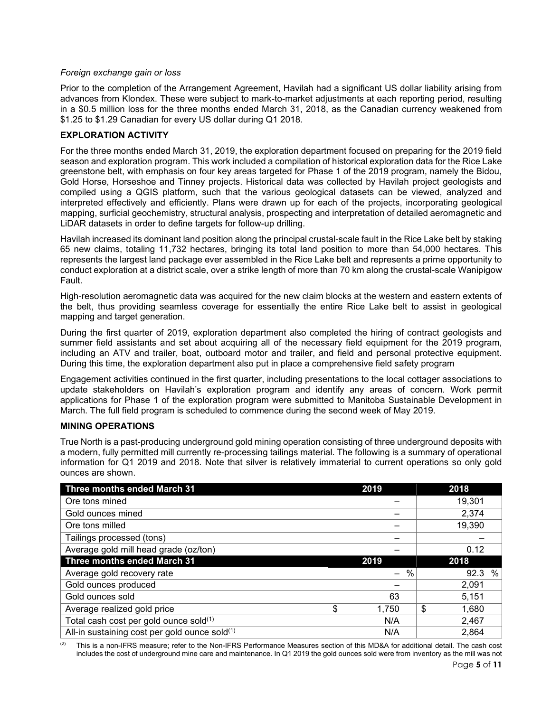## *Foreign exchange gain or loss*

Prior to the completion of the Arrangement Agreement, Havilah had a significant US dollar liability arising from advances from Klondex. These were subject to mark-to-market adjustments at each reporting period, resulting in a \$0.5 million loss for the three months ended March 31, 2018, as the Canadian currency weakened from \$1.25 to \$1.29 Canadian for every US dollar during Q1 2018.

## **EXPLORATION ACTIVITY**

For the three months ended March 31, 2019, the exploration department focused on preparing for the 2019 field season and exploration program. This work included a compilation of historical exploration data for the Rice Lake greenstone belt, with emphasis on four key areas targeted for Phase 1 of the 2019 program, namely the Bidou, Gold Horse, Horseshoe and Tinney projects. Historical data was collected by Havilah project geologists and compiled using a QGIS platform, such that the various geological datasets can be viewed, analyzed and interpreted effectively and efficiently. Plans were drawn up for each of the projects, incorporating geological mapping, surficial geochemistry, structural analysis, prospecting and interpretation of detailed aeromagnetic and LiDAR datasets in order to define targets for follow-up drilling.

Havilah increased its dominant land position along the principal crustal-scale fault in the Rice Lake belt by staking 65 new claims, totaling 11,732 hectares, bringing its total land position to more than 54,000 hectares. This represents the largest land package ever assembled in the Rice Lake belt and represents a prime opportunity to conduct exploration at a district scale, over a strike length of more than 70 km along the crustal-scale Wanipigow Fault.

High-resolution aeromagnetic data was acquired for the new claim blocks at the western and eastern extents of the belt, thus providing seamless coverage for essentially the entire Rice Lake belt to assist in geological mapping and target generation.

During the first quarter of 2019, exploration department also completed the hiring of contract geologists and summer field assistants and set about acquiring all of the necessary field equipment for the 2019 program, including an ATV and trailer, boat, outboard motor and trailer, and field and personal protective equipment. During this time, the exploration department also put in place a comprehensive field safety program

Engagement activities continued in the first quarter, including presentations to the local cottager associations to update stakeholders on Havilah's exploration program and identify any areas of concern. Work permit applications for Phase 1 of the exploration program were submitted to Manitoba Sustainable Development in March. The full field program is scheduled to commence during the second week of May 2019.

## **MINING OPERATIONS**

True North is a past-producing underground gold mining operation consisting of three underground deposits with a modern, fully permitted mill currently re-processing tailings material. The following is a summary of operational information for Q1 2019 and 2018. Note that silver is relatively immaterial to current operations so only gold ounces are shown.

| Three months ended March 31                   | 2019        | 2018        |
|-----------------------------------------------|-------------|-------------|
| Ore tons mined                                |             | 19,301      |
| Gold ounces mined                             |             | 2,374       |
| Ore tons milled                               |             | 19,390      |
| Tailings processed (tons)                     |             |             |
| Average gold mill head grade (oz/ton)         |             | 0.12        |
| Three months ended March 31                   | 2019        | 2018        |
| Average gold recovery rate                    | $\%$        | %<br>92.3   |
| Gold ounces produced                          |             | 2,091       |
| Gold ounces sold                              | 63          | 5,151       |
| Average realized gold price                   | \$<br>1,750 | \$<br>1,680 |
| Total cash cost per gold ounce sold(1)        | N/A         | 2,467       |
| All-in sustaining cost per gold ounce sold(1) | N/A         | 2,864       |

 $(2)$  This is a non-IFRS measure; refer to the Non-IFRS Performance Measures section of this MD&A for additional detail. The cash cost includes the cost of underground mine care and maintenance. In Q1 2019 the gold ounces sold were from inventory as the mill was not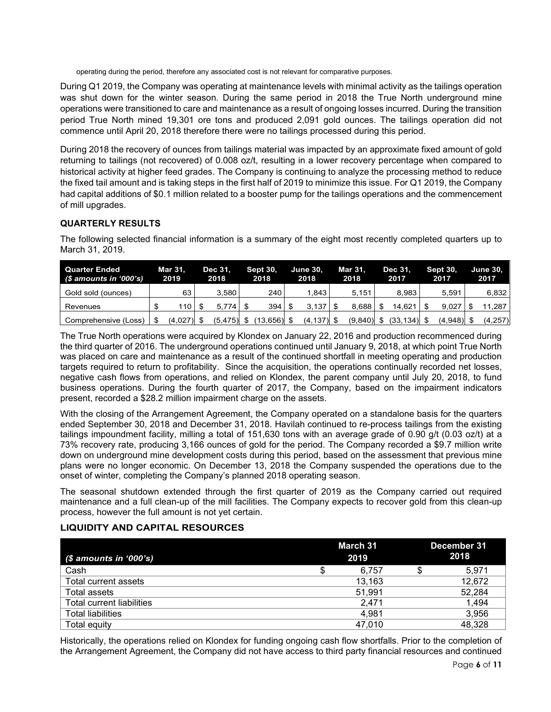operating during the period, therefore any associated cost is not relevant for comparative purposes.

During Q1 2019, the Company was operating at maintenance levels with minimal activity as the tailings operation was shut down for the winter season. During the same period in 2018 the True North underground mine operations were transitioned to care and maintenance as a result of ongoing losses incurred. During the transition period True North mined 19,301 ore tons and produced 2,091 gold ounces. The tailings operation did not commence until April 20, 2018 therefore there were no tailings processed during this period.

During 2018 the recovery of ounces from tailings material was impacted by an approximate fixed amount of gold returning to tailings (not recovered) of 0.008 oz/t, resulting in a lower recovery percentage when compared to historical activity at higher feed grades. The Company is continuing to analyze the processing method to reduce the fixed tail amount and is taking steps in the first half of 2019 to minimize this issue. For Q1 2019, the Company had capital additions of \$0.1 million related to a booster pump for the tailings operations and the commencement of mill upgrades.

# **QUARTERLY RESULTS**

The following selected financial information is a summary of the eight most recently completed quarters up to March 31, 2019.

| Quarter Ended<br>$(S$ amounts in '000's) | <b>Mar 31.</b><br>2019 | Dec 31.<br>2018 | <b>Sept 30.</b><br>2018 | <b>June 30.</b><br>2018 | Mar 31.<br>2018 | <b>Dec 31.</b><br>2017 | <b>Sept 30.</b><br>2017 | <b>June 30.</b><br>2017 |
|------------------------------------------|------------------------|-----------------|-------------------------|-------------------------|-----------------|------------------------|-------------------------|-------------------------|
| Gold sold (ounces)                       | 63                     | 3.580           | 240                     | .843                    | 5.151           | 8.983                  | 5.591                   | 6,832                   |
| Revenues                                 | 110                    | $5.774$ S       |                         | $3.137$ $\frac{1}{3}$   | 8.688           | 14.621                 | 9.027                   | 11.287                  |
| Comprehensive (Loss)                     | $(4,027)$ \$           | $(5,475)$ \$    | (13,656) \$             | $(4, 137)$ \$           | $(9,840)$ \$    | $(33, 134)$ \$         | $(4,948)$ \$            | (4, 257)                |

The True North operations were acquired by Klondex on January 22, 2016 and production recommenced during the third quarter of 2016. The underground operations continued until January 9, 2018, at which point True North was placed on care and maintenance as a result of the continued shortfall in meeting operating and production targets required to return to profitability. Since the acquisition, the operations continually recorded net losses, negative cash flows from operations, and relied on Klondex, the parent company until July 20, 2018, to fund business operations. During the fourth quarter of 2017, the Company, based on the impairment indicators present, recorded a \$28.2 million impairment charge on the assets.

With the closing of the Arrangement Agreement, the Company operated on a standalone basis for the quarters ended September 30, 2018 and December 31, 2018. Havilah continued to re-process tailings from the existing tailings impoundment facility, milling a total of 151,630 tons with an average grade of 0.90 g/t (0.03 oz/t) at a 73% recovery rate, producing 3,166 ounces of gold for the period. The Company recorded a \$9.7 million write down on underground mine development costs during this period, based on the assessment that previous mine plans were no longer economic. On December 13, 2018 the Company suspended the operations due to the onset of winter, completing the Company's planned 2018 operating season.

The seasonal shutdown extended through the first quarter of 2019 as the Company carried out required maintenance and a full clean-up of the mill facilities. The Company expects to recover gold from this clean-up process, however the full amount is not yet certain.

## **LIQUIDITY AND CAPITAL RESOURCES**

| $(S$ amounts in '000's)          |   | March 31<br>2019 | December 31<br>2018 |
|----------------------------------|---|------------------|---------------------|
| Cash                             | J | 6.757            | 5.971               |
| Total current assets             |   | 13,163           | 12,672              |
| Total assets                     |   | 51,991           | 52,284              |
| <b>Total current liabilities</b> |   | 2.471            | 1,494               |
| <b>Total liabilities</b>         |   | 4.981            | 3,956               |
| Total equity                     |   | 47.010           | 48,328              |

Historically, the operations relied on Klondex for funding ongoing cash flow shortfalls. Prior to the completion of the Arrangement Agreement, the Company did not have access to third party financial resources and continued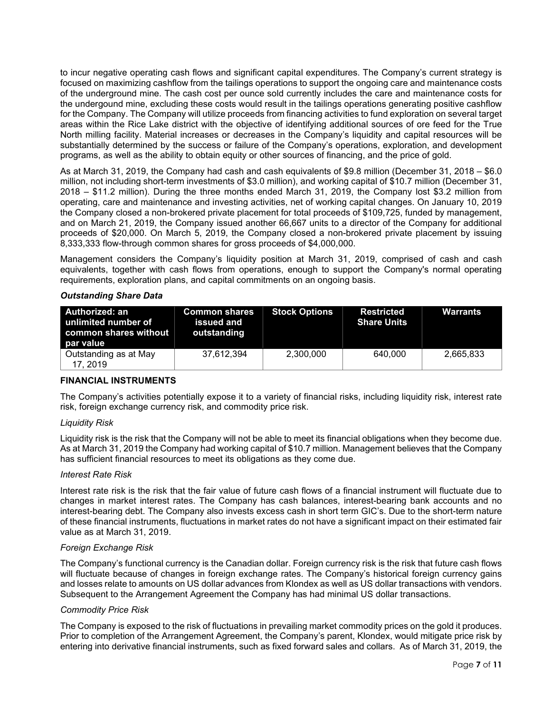to incur negative operating cash flows and significant capital expenditures. The Company's current strategy is focused on maximizing cashflow from the tailings operations to support the ongoing care and maintenance costs of the underground mine. The cash cost per ounce sold currently includes the care and maintenance costs for the undergound mine, excluding these costs would result in the tailings operations generating positive cashflow for the Company. The Company will utilize proceeds from financing activities to fund exploration on several target areas within the Rice Lake district with the objective of identifying additional sources of ore feed for the True North milling facility. Material increases or decreases in the Company's liquidity and capital resources will be substantially determined by the success or failure of the Company's operations, exploration, and development programs, as well as the ability to obtain equity or other sources of financing, and the price of gold.

As at March 31, 2019, the Company had cash and cash equivalents of \$9.8 million (December 31, 2018 – \$6.0 million, not including short-term investments of \$3.0 million), and working capital of \$10.7 million (December 31, 2018 – \$11.2 million). During the three months ended March 31, 2019, the Company lost \$3.2 million from operating, care and maintenance and investing activities, net of working capital changes. On January 10, 2019 the Company closed a non-brokered private placement for total proceeds of \$109,725, funded by management, and on March 21, 2019, the Company issued another 66,667 units to a director of the Company for additional proceeds of \$20,000. On March 5, 2019, the Company closed a non-brokered private placement by issuing 8,333,333 flow-through common shares for gross proceeds of \$4,000,000.

Management considers the Company's liquidity position at March 31, 2019, comprised of cash and cash equivalents, together with cash flows from operations, enough to support the Company's normal operating requirements, exploration plans, and capital commitments on an ongoing basis.

#### *Outstanding Share Data*

| Authorized: an<br>unlimited number of<br>common shares without I<br>par value | <b>Common shares</b><br>issued and<br>outstanding | <b>Stock Options</b> | <b>Restricted</b><br><b>Share Units</b> | Warrants  |
|-------------------------------------------------------------------------------|---------------------------------------------------|----------------------|-----------------------------------------|-----------|
| Outstanding as at May<br>17, 2019                                             | 37.612.394                                        | 2.300.000            | 640.000                                 | 2,665,833 |

## **FINANCIAL INSTRUMENTS**

The Company's activities potentially expose it to a variety of financial risks, including liquidity risk, interest rate risk, foreign exchange currency risk, and commodity price risk.

## *Liquidity Risk*

Liquidity risk is the risk that the Company will not be able to meet its financial obligations when they become due. As at March 31, 2019 the Company had working capital of \$10.7 million. Management believes that the Company has sufficient financial resources to meet its obligations as they come due.

#### *Interest Rate Risk*

Interest rate risk is the risk that the fair value of future cash flows of a financial instrument will fluctuate due to changes in market interest rates. The Company has cash balances, interest-bearing bank accounts and no interest-bearing debt. The Company also invests excess cash in short term GIC's. Due to the short-term nature of these financial instruments, fluctuations in market rates do not have a significant impact on their estimated fair value as at March 31, 2019.

#### *Foreign Exchange Risk*

The Company's functional currency is the Canadian dollar. Foreign currency risk is the risk that future cash flows will fluctuate because of changes in foreign exchange rates. The Company's historical foreign currency gains and losses relate to amounts on US dollar advances from Klondex as well as US dollar transactions with vendors. Subsequent to the Arrangement Agreement the Company has had minimal US dollar transactions.

#### *Commodity Price Risk*

The Company is exposed to the risk of fluctuations in prevailing market commodity prices on the gold it produces. Prior to completion of the Arrangement Agreement, the Company's parent, Klondex, would mitigate price risk by entering into derivative financial instruments, such as fixed forward sales and collars. As of March 31, 2019, the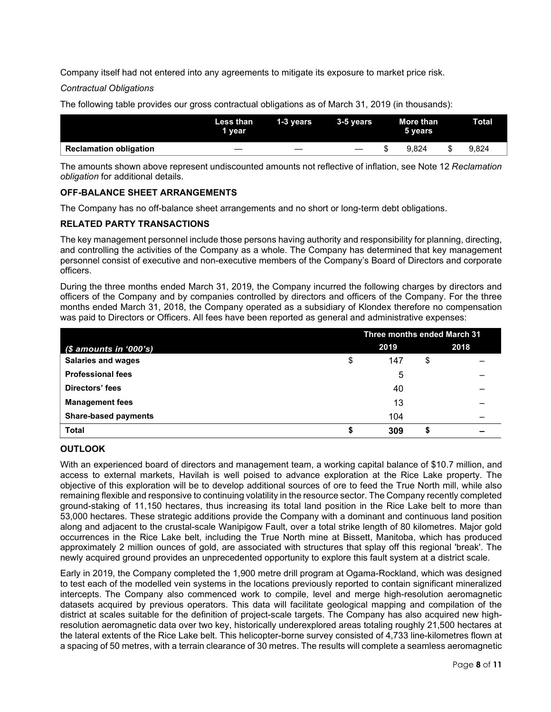Company itself had not entered into any agreements to mitigate its exposure to market price risk.

*Contractual Obligations*

The following table provides our gross contractual obligations as of March 31, 2019 (in thousands):

|                               | Less than<br>1 year | 1-3 years | 3-5 vears | More than<br>5 years | Total |
|-------------------------------|---------------------|-----------|-----------|----------------------|-------|
| <b>Reclamation obligation</b> | _                   | _         |           | 9.824                | 9.824 |

The amounts shown above represent undiscounted amounts not reflective of inflation, see Note 12 *Reclamation obligation* for additional details.

# **OFF-BALANCE SHEET ARRANGEMENTS**

The Company has no off-balance sheet arrangements and no short or long-term debt obligations.

# **RELATED PARTY TRANSACTIONS**

The key management personnel include those persons having authority and responsibility for planning, directing, and controlling the activities of the Company as a whole. The Company has determined that key management personnel consist of executive and non-executive members of the Company's Board of Directors and corporate officers.

During the three months ended March 31, 2019, the Company incurred the following charges by directors and officers of the Company and by companies controlled by directors and officers of the Company. For the three months ended March 31, 2018, the Company operated as a subsidiary of Klondex therefore no compensation was paid to Directors or Officers. All fees have been reported as general and administrative expenses:

|                             | Three months ended March 31 |      |    |      |  |
|-----------------------------|-----------------------------|------|----|------|--|
| $$$ amounts in '000's)      |                             | 2019 |    | 2018 |  |
| <b>Salaries and wages</b>   | \$                          | 147  | \$ |      |  |
| <b>Professional fees</b>    |                             | 5    |    |      |  |
| Directors' fees             |                             | 40   |    |      |  |
| <b>Management fees</b>      |                             | 13   |    |      |  |
| <b>Share-based payments</b> |                             | 104  |    |      |  |
| <b>Total</b>                | \$                          | 309  |    |      |  |

## **OUTLOOK**

With an experienced board of directors and management team, a working capital balance of \$10.7 million, and access to external markets, Havilah is well poised to advance exploration at the Rice Lake property. The objective of this exploration will be to develop additional sources of ore to feed the True North mill, while also remaining flexible and responsive to continuing volatility in the resource sector. The Company recently completed ground-staking of 11,150 hectares, thus increasing its total land position in the Rice Lake belt to more than 53,000 hectares. These strategic additions provide the Company with a dominant and continuous land position along and adjacent to the crustal-scale Wanipigow Fault, over a total strike length of 80 kilometres. Major gold occurrences in the Rice Lake belt, including the True North mine at Bissett, Manitoba, which has produced approximately 2 million ounces of gold, are associated with structures that splay off this regional 'break'. The newly acquired ground provides an unprecedented opportunity to explore this fault system at a district scale.

Early in 2019, the Company completed the 1,900 metre drill program at Ogama-Rockland, which was designed to test each of the modelled vein systems in the locations previously reported to contain significant mineralized intercepts. The Company also commenced work to compile, level and merge high-resolution aeromagnetic datasets acquired by previous operators. This data will facilitate geological mapping and compilation of the district at scales suitable for the definition of project-scale targets. The Company has also acquired new highresolution aeromagnetic data over two key, historically underexplored areas totaling roughly 21,500 hectares at the lateral extents of the Rice Lake belt. This helicopter-borne survey consisted of 4,733 line-kilometres flown at a spacing of 50 metres, with a terrain clearance of 30 metres. The results will complete a seamless aeromagnetic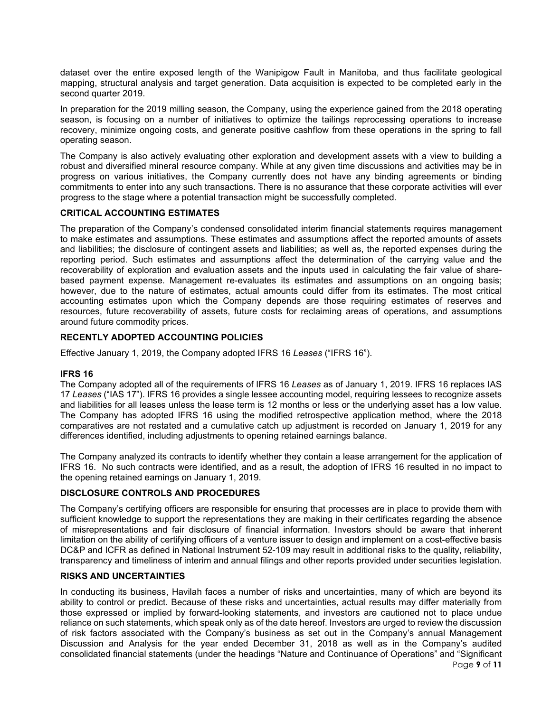dataset over the entire exposed length of the Wanipigow Fault in Manitoba, and thus facilitate geological mapping, structural analysis and target generation. Data acquisition is expected to be completed early in the second quarter 2019.

In preparation for the 2019 milling season, the Company, using the experience gained from the 2018 operating season, is focusing on a number of initiatives to optimize the tailings reprocessing operations to increase recovery, minimize ongoing costs, and generate positive cashflow from these operations in the spring to fall operating season.

The Company is also actively evaluating other exploration and development assets with a view to building a robust and diversified mineral resource company. While at any given time discussions and activities may be in progress on various initiatives, the Company currently does not have any binding agreements or binding commitments to enter into any such transactions. There is no assurance that these corporate activities will ever progress to the stage where a potential transaction might be successfully completed.

# **CRITICAL ACCOUNTING ESTIMATES**

The preparation of the Company's condensed consolidated interim financial statements requires management to make estimates and assumptions. These estimates and assumptions affect the reported amounts of assets and liabilities; the disclosure of contingent assets and liabilities; as well as, the reported expenses during the reporting period. Such estimates and assumptions affect the determination of the carrying value and the recoverability of exploration and evaluation assets and the inputs used in calculating the fair value of sharebased payment expense. Management re-evaluates its estimates and assumptions on an ongoing basis; however, due to the nature of estimates, actual amounts could differ from its estimates. The most critical accounting estimates upon which the Company depends are those requiring estimates of reserves and resources, future recoverability of assets, future costs for reclaiming areas of operations, and assumptions around future commodity prices.

# **RECENTLY ADOPTED ACCOUNTING POLICIES**

Effective January 1, 2019, the Company adopted IFRS 16 *Leases* ("IFRS 16").

#### **IFRS 16**

The Company adopted all of the requirements of IFRS 16 *Leases* as of January 1, 2019. IFRS 16 replaces IAS 17 *Leases* ("IAS 17"). IFRS 16 provides a single lessee accounting model, requiring lessees to recognize assets and liabilities for all leases unless the lease term is 12 months or less or the underlying asset has a low value. The Company has adopted IFRS 16 using the modified retrospective application method, where the 2018 comparatives are not restated and a cumulative catch up adjustment is recorded on January 1, 2019 for any differences identified, including adjustments to opening retained earnings balance.

The Company analyzed its contracts to identify whether they contain a lease arrangement for the application of IFRS 16. No such contracts were identified, and as a result, the adoption of IFRS 16 resulted in no impact to the opening retained earnings on January 1, 2019.

#### **DISCLOSURE CONTROLS AND PROCEDURES**

The Company's certifying officers are responsible for ensuring that processes are in place to provide them with sufficient knowledge to support the representations they are making in their certificates regarding the absence of misrepresentations and fair disclosure of financial information. Investors should be aware that inherent limitation on the ability of certifying officers of a venture issuer to design and implement on a cost-effective basis DC&P and ICFR as defined in National Instrument 52-109 may result in additional risks to the quality, reliability, transparency and timeliness of interim and annual filings and other reports provided under securities legislation.

#### **RISKS AND UNCERTAINTIES**

In conducting its business, Havilah faces a number of risks and uncertainties, many of which are beyond its ability to control or predict. Because of these risks and uncertainties, actual results may differ materially from those expressed or implied by forward-looking statements, and investors are cautioned not to place undue reliance on such statements, which speak only as of the date hereof. Investors are urged to review the discussion of risk factors associated with the Company's business as set out in the Company's annual Management Discussion and Analysis for the year ended December 31, 2018 as well as in the Company's audited consolidated financial statements (under the headings "Nature and Continuance of Operations" and "Significant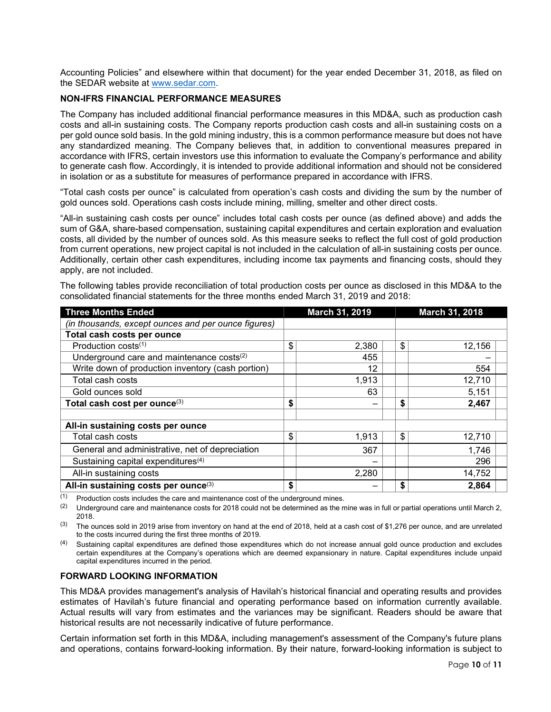Accounting Policies" and elsewhere within that document) for the year ended December 31, 2018, as filed on the SEDAR website at [www.sedar.com.](http://www.sedar.com/)

## **NON-IFRS FINANCIAL PERFORMANCE MEASURES**

The Company has included additional financial performance measures in this MD&A, such as production cash costs and all-in sustaining costs. The Company reports production cash costs and all-in sustaining costs on a per gold ounce sold basis. In the gold mining industry, this is a common performance measure but does not have any standardized meaning. The Company believes that, in addition to conventional measures prepared in accordance with IFRS, certain investors use this information to evaluate the Company's performance and ability to generate cash flow. Accordingly, it is intended to provide additional information and should not be considered in isolation or as a substitute for measures of performance prepared in accordance with IFRS.

"Total cash costs per ounce" is calculated from operation's cash costs and dividing the sum by the number of gold ounces sold. Operations cash costs include mining, milling, smelter and other direct costs.

"All-in sustaining cash costs per ounce" includes total cash costs per ounce (as defined above) and adds the sum of G&A, share-based compensation, sustaining capital expenditures and certain exploration and evaluation costs, all divided by the number of ounces sold. As this measure seeks to reflect the full cost of gold production from current operations, new project capital is not included in the calculation of all-in sustaining costs per ounce. Additionally, certain other cash expenditures, including income tax payments and financing costs, should they apply, are not included.

The following tables provide reconciliation of total production costs per ounce as disclosed in this MD&A to the consolidated financial statements for the three months ended March 31, 2019 and 2018:

| <b>Three Months Ended</b>                             | March 31, 2019 | March 31, 2018 |
|-------------------------------------------------------|----------------|----------------|
| (in thousands, except ounces and per ounce figures)   |                |                |
| Total cash costs per ounce                            |                |                |
| Production costs $(1)$                                | \$<br>2,380    | \$<br>12,156   |
| Underground care and maintenance costs <sup>(2)</sup> | 455            |                |
| Write down of production inventory (cash portion)     | 12             | 554            |
| Total cash costs                                      | 1,913          | 12,710         |
| Gold ounces sold                                      | 63             | 5,151          |
| Total cash cost per ounce <sup>(3)</sup>              | \$             | \$<br>2,467    |
| All-in sustaining costs per ounce                     |                |                |
| Total cash costs                                      | \$<br>1,913    | \$<br>12,710   |
| General and administrative, net of depreciation       | 367            | 1,746          |
| Sustaining capital expenditures <sup>(4)</sup>        |                | 296            |
| All-in sustaining costs                               | 2,280          | 14,752         |
| All-in sustaining costs per ounce(3)                  | \$             | 2,864          |

(1) Production costs includes the care and maintenance cost of the underground mines.

 $(2)$  Underground care and maintenance costs for 2018 could not be determined as the mine was in full or partial operations until March 2, 2018.

(3) The ounces sold in 2019 arise from inventory on hand at the end of 2018, held at a cash cost of \$1,276 per ounce, and are unrelated to the costs incurred during the first three months of 2019.

(4) Sustaining capital expenditures are defined those expenditures which do not increase annual gold ounce production and excludes certain expenditures at the Company's operations which are deemed expansionary in nature. Capital expenditures include unpaid capital expenditures incurred in the period.

#### **FORWARD LOOKING INFORMATION**

This MD&A provides management's analysis of Havilah's historical financial and operating results and provides estimates of Havilah's future financial and operating performance based on information currently available. Actual results will vary from estimates and the variances may be significant. Readers should be aware that historical results are not necessarily indicative of future performance.

Certain information set forth in this MD&A, including management's assessment of the Company's future plans and operations, contains forward-looking information. By their nature, forward-looking information is subject to